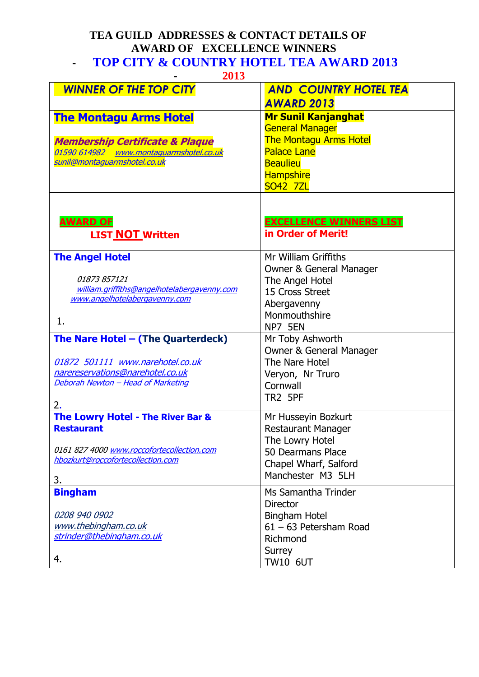## **TEA GUILD ADDRESSES & CONTACT DETAILS OF AWARD OF EXCELLENCE WINNERS - TOP CITY & COUNTRY HOTEL TEA AWARD 2013**

|  | ٩ |  |
|--|---|--|
|  |   |  |

| 2013                                                                            |                                    |  |  |  |
|---------------------------------------------------------------------------------|------------------------------------|--|--|--|
| <b>WINNER OF THE TOP CITY</b>                                                   | <b>AND COUNTRY HOTEL TEA</b>       |  |  |  |
|                                                                                 | <b>AWARD 2013</b>                  |  |  |  |
| <b>The Montagu Arms Hotel</b>                                                   | <b>Mr Sunil Kanjanghat</b>         |  |  |  |
|                                                                                 | <b>General Manager</b>             |  |  |  |
| <b>Membership Certificate &amp; Plaque</b>                                      | <b>The Montagu Arms Hotel</b>      |  |  |  |
| 01590 614982 www.montaquarmshotel.co.uk                                         | <b>Palace Lane</b>                 |  |  |  |
| sunil@montaguarmshotel.co.uk                                                    | <b>Beaulieu</b>                    |  |  |  |
|                                                                                 | <b>Hampshire</b>                   |  |  |  |
|                                                                                 | <b>SO42 7ZL</b>                    |  |  |  |
|                                                                                 |                                    |  |  |  |
|                                                                                 |                                    |  |  |  |
| <u>AWARD OF</u>                                                                 | <b>EXCELLENCE WINNERS LIST</b>     |  |  |  |
| <b>LIST NOT Written</b>                                                         | in Order of Merit!                 |  |  |  |
| <b>The Angel Hotel</b>                                                          | Mr William Griffiths               |  |  |  |
|                                                                                 | <b>Owner &amp; General Manager</b> |  |  |  |
| 01873 857121                                                                    | The Angel Hotel                    |  |  |  |
| william.griffiths@angelhotelabergavenny.com                                     | 15 Cross Street                    |  |  |  |
| www.angelhotelabergavenny.com                                                   | Abergavenny                        |  |  |  |
|                                                                                 | Monmouthshire                      |  |  |  |
| 1.                                                                              | NP7 5EN                            |  |  |  |
| The Nare Hotel - (The Quarterdeck)                                              | Mr Toby Ashworth                   |  |  |  |
|                                                                                 | <b>Owner &amp; General Manager</b> |  |  |  |
| 01872 501111 www.narehotel.co.uk                                                | The Nare Hotel                     |  |  |  |
| narereservations@narehotel.co.uk                                                | Veryon, Nr Truro                   |  |  |  |
| Deborah Newton - Head of Marketing                                              | Cornwall                           |  |  |  |
|                                                                                 | TR2 5PF                            |  |  |  |
| 2.                                                                              |                                    |  |  |  |
| The Lowry Hotel - The River Bar &                                               | Mr Husseyin Bozkurt                |  |  |  |
| <b>Restaurant</b>                                                               | <b>Restaurant Manager</b>          |  |  |  |
|                                                                                 | The Lowry Hotel                    |  |  |  |
| 0161 827 4000 www.roccofortecollection.com<br>hbozkurt@roccofortecollection.com | 50 Dearmans Place                  |  |  |  |
|                                                                                 | Chapel Wharf, Salford              |  |  |  |
| 3.                                                                              | Manchester M3 5LH                  |  |  |  |
| <b>Bingham</b>                                                                  | Ms Samantha Trinder                |  |  |  |
|                                                                                 | <b>Director</b>                    |  |  |  |
| 0208 940 0902                                                                   | <b>Bingham Hotel</b>               |  |  |  |
| www.thebingham.co.uk                                                            | $61 - 63$ Petersham Road           |  |  |  |
| strinder@thebingham.co.uk                                                       | Richmond                           |  |  |  |
|                                                                                 | Surrey                             |  |  |  |
| 4.                                                                              | <b>TW10 6UT</b>                    |  |  |  |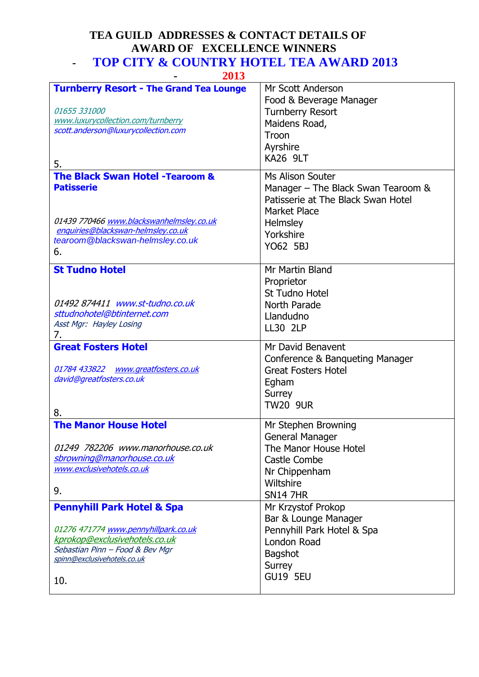## **TEA GUILD ADDRESSES & CONTACT DETAILS OF AWARD OF EXCELLENCE WINNERS - TOP CITY & COUNTRY HOTEL TEA AWARD 2013**

 **- 2013** 

| <b>Turnberry Resort - The Grand Tea Lounge</b><br>01655 331000<br>www.luxurycollection.com/turnberry<br>scott.anderson@luxurycollection.com<br>5.<br><b>The Black Swan Hotel -Tearoom &amp;</b><br><b>Patisserie</b><br>01439 770466 www.blackswanhelmsley.co.uk | Mr Scott Anderson<br>Food & Beverage Manager<br><b>Turnberry Resort</b><br>Maidens Road,<br>Troon<br>Ayrshire<br><b>KA26 9LT</b><br>Ms Alison Souter<br>Manager - The Black Swan Tearoom &<br>Patisserie at The Black Swan Hotel<br><b>Market Place</b><br>Helmsley |
|------------------------------------------------------------------------------------------------------------------------------------------------------------------------------------------------------------------------------------------------------------------|---------------------------------------------------------------------------------------------------------------------------------------------------------------------------------------------------------------------------------------------------------------------|
| enquiries@blackswan-helmsley.co.uk<br>tearoom@blackswan-helmsley.co.uk<br>6.                                                                                                                                                                                     | Yorkshire<br>YO62 5BJ                                                                                                                                                                                                                                               |
| <b>St Tudno Hotel</b><br>01492 874411 www.st-tudno.co.uk<br>sttudnohotel@btinternet.com<br>Asst Mgr: Hayley Losing<br>7.                                                                                                                                         | Mr Martin Bland<br>Proprietor<br><b>St Tudno Hotel</b><br>North Parade<br>Llandudno<br><b>LL30 2LP</b>                                                                                                                                                              |
| <b>Great Fosters Hotel</b><br>01784 433822 www.greatfosters.co.uk<br>david@greatfosters.co.uk<br>8.                                                                                                                                                              | Mr David Benavent<br>Conference & Banqueting Manager<br><b>Great Fosters Hotel</b><br>Egham<br>Surrey<br><b>TW20 9UR</b>                                                                                                                                            |
| <b>The Manor House Hotel</b><br>01249 782206 www.manorhouse.co.uk<br>sbrowning@manorhouse.co.uk<br>www.exclusivehotels.co.uk<br>9.                                                                                                                               | Mr Stephen Browning<br><b>General Manager</b><br>The Manor House Hotel<br>Castle Combe<br>Nr Chippenham<br>Wiltshire<br><b>SN14 7HR</b>                                                                                                                             |
| <b>Pennyhill Park Hotel &amp; Spa</b><br>01276 471774 www.pennyhillpark.co.uk<br>kprokop@exclusivehotels.co.uk<br>Sebastian Pinn - Food & Bev Mgr<br>spinn@exclusivehotels.co.uk<br>10.                                                                          | Mr Krzystof Prokop<br>Bar & Lounge Manager<br>Pennyhill Park Hotel & Spa<br>London Road<br><b>Bagshot</b><br>Surrey<br><b>GU19 5EU</b>                                                                                                                              |